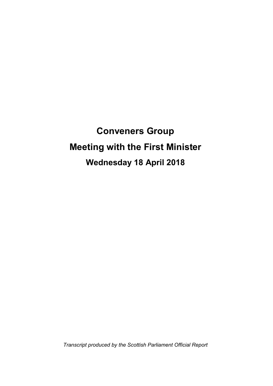**Conveners Group Meeting with the First Minister Wednesday 18 April 2018**

*Transcript produced by the Scottish Parliament Official Report*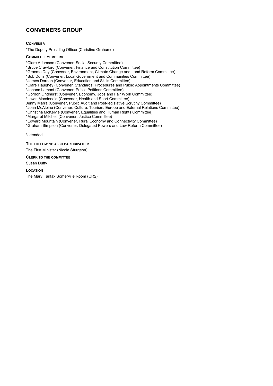# **CONVENERS GROUP**

**CONVENER**

\*The Deputy Presiding Officer (Christine Grahame)

**COMMITTEE MEMBERS** \*Clare Adamson (Convener, Social Security Committee) \*Bruce Crawford (Convener, Finance and Constitution Committee) \*Graeme Dey (Convener, Environment, Climate Change and Land Reform Committee) \*Bob Doris (Convener, Local Government and Communities Committee) \*James Dornan (Convener, Education and Skills Committee) \*Clare Haughey (Convener, Standards, Procedures and Public Appointments Committee) \*Johann Lamont (Convener, Public Petitions Committee) \*Gordon Lindhurst (Convener, Economy, Jobs and Fair Work Committee) \*Lewis Macdonald (Convener, Health and Sport Committee) Jenny Marra (Convener, Public Audit and Post-legislative Scrutiny Committee) \*Joan McAlpine (Convener, Culture, Tourism, Europe and External Relations Committee) \*Christina McKelvie (Convener, Equalities and Human Rights Committee) \*Margaret Mitchell (Convener, Justice Committee) \*Edward Mountain (Convener, Rural Economy and Connectivity Committee) \*Graham Simpson (Convener, Delegated Powers and Law Reform Committee) \*attended

**THE FOLLOWING ALSO PARTICIPATED:**

The First Minister (Nicola Sturgeon)

#### **CLERK TO THE COMMITTEE**

Susan Duffy

**LOCATION**

The Mary Fairfax Somerville Room (CR2)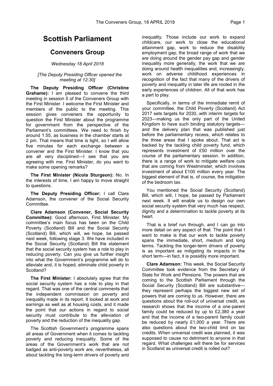# **Scottish Parliament**

# **Conveners Group**

### *Wednesday 18 April 2018*

#### *[The Deputy Presiding Officer opened the meeting at 12:30]*

**The Deputy Presiding Officer (Christine Grahame):** I am pleased to convene the third meeting in session 5 of the Conveners Group with the First Minister. I welcome the First Minister and members of the public to the meeting. This session gives conveners the opportunity to question the First Minister about the programme for government from the perspective of the Parliament's committees. We need to finish by around 1.55, as business in the chamber starts at 2 pm. That means that time is tight, so I will allow five minutes for each exchange between a convener and the First Minister. I know that you are all very disciplined—I see that you are agreeing with me. First Minister, do you want to make some opening remarks?

**The First Minister (Nicola Sturgeon):** No. In the interests of time, I am happy to move straight to questions.

**The Deputy Presiding Officer:** I call Clare Adamson, the convener of the Social Security Committee.

**Clare Adamson (Convener, Social Security Committee):** Good afternoon, First Minister. My committee's main focus has been on the Child Poverty (Scotland) Bill and the Social Security (Scotland) Bill, which will, we hope, be passed next week, following stage 3. We have included in the Social Security (Scotland) Bill the statement that the social security system has a role to play in reducing poverty. Can you give us further insight into what the Government's programme will do to alleviate and, it is hoped, eliminate child poverty in Scotland?

**The First Minister:** I absolutely agree that the social security system has a role to play in that regard. That was one of the central comments that the independent commission on poverty and inequality made in its report. It looked at work and earnings as well as at housing costs, and it made the point that our actions in regard to social security must contribute to the alleviation of poverty and the reduction of the inequality gap.

The Scottish Government's programme spans all areas of Government when it comes to tackling poverty and reducing inequality. Some of the areas of the Government's work that are not badged as anti-poverty work are, nevertheless, all about tackling the long-term drivers of poverty and

inequality. Those include our work to expand childcare, our work to close the educational attainment gap, work to reduce the disability employment gap, the broad range of work that we are doing around the gender pay gap and gender inequality more generally, the work that we are doing around health inequalities and, increasingly, work on adverse childhood experiences in recognition of the fact that many of the drivers of poverty and inequality in later life are rooted in the early experiences of children. All of that work has a part to play.

Specifically, in terms of the immediate remit of your committee, the Child Poverty (Scotland) Act 2017 sets targets for 2030, with interim targets for 2023—making us the only part of the United Kingdom to have such binding statutory targets and the delivery plan that was published just before the parliamentary recess, which relates to the three areas that I spoke about. That act is backed by the tackling child poverty fund, which represents investment of £50 million over the course of the parliamentary session. In addition, there is a range of work to mitigate welfare cuts that are coming from Westminster, which involves investment of about £100 million every year. The biggest element of that is, of course, the mitigation of the bedroom tax.

You mentioned the Social Security (Scotland) Bill, which will, I hope, be passed by Parliament next week. It will enable us to design our own social security system that very much has respect, dignity and a determination to tackle poverty at its heart.

That is a brief run through, and I can go into more detail on any aspect of that. The point that I want to make is that our work to tackle poverty spans the immediate, short, medium and long terms. Tackling the longer-term drivers of poverty is as important as mitigating its impacts in the short term—in fact, it is possibly more important.

**Clare Adamson:** This week, the Social Security Committee took evidence from the Secretary of State for Work and Pensions. The powers that are coming to the Scottish Parliament through the Social Security (Scotland) Bill are substantive they represent perhaps the biggest new set of powers that are coming to us. However, there are questions about the roll-out of universal credit, as research shows that the income of a one-parent family could be reduced by up to £2,380 a year and that the income of a two-parent family could be reduced by nearly £1,000 a year. There are also questions about the two-child limit on tax credits. When universal credit was planned, it was supposed to cause no detriment to anyone in that regard. What challenges will there be for services in Scotland as universal credit is rolled out?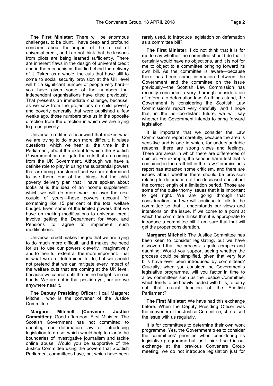**The First Minister:** There will be enormous challenges, to be blunt. I have deep and profound concerns about the impact of the roll-out of universal credit, and I do not think that the lessons from pilots are being learned sufficiently. There are inherent flaws in the design of universal credit and in the mechanisms that lie behind the delivery of it. Taken as a whole, the cuts that have still to come to social security provision at the UK level will hit a significant number of people very hard you have given some of the numbers that independent organisations have cited previously. That presents an immediate challenge, because, as we saw from the projections on child poverty and poverty generally that were published a few weeks ago, those numbers take us in the opposite direction from the direction in which we are trying to go on poverty.

Universal credit is a headwind that makes what we are trying to do much more difficult. It raises questions, which we hear all the time in this Parliament, about the extent to which the Scottish Government can mitigate the cuts that are coming from the UK Government. Although we have a definite role to play in using the substantial powers that are being transferred and we are determined to use them—one of the things that the child poverty delivery plan that I have spoken about looks at is the idea of an income supplement, which we will do more work on over the next couple of years—those powers account for something like 15 per cent of the total welfare budget. Even some of the limited powers that we have on making modifications to universal credit involve getting the Department for Work and Pensions to agree to implement such modifications.

Universal credit makes the job that we are trying to do much more difficult, and it makes the need for us to use our powers cleverly, imaginatively and to their full extent all the more important. That is what we are determined to do, but we should not pretend that we can mitigate every impact of the welfare cuts that are coming at the UK level, because we cannot until the entire budget is in our hands. We are not in that position yet, nor are we anywhere near it.

**The Deputy Presiding Officer:** I call Margaret Mitchell, who is the convener of the Justice Committee.

**Margaret Mitchell (Convener, Justice Committee):** Good afternoon, First Minister. The Scottish Government has not committed to updating our defamation law or introducing legislation to do so, which would help to clarify the boundaries of investigative journalism and tackle online abuse. Would you be supportive of the Justice Committee using the powers that Scottish Parliament committees have, but which have been

rarely used, to introduce legislation on defamation as a committee bill?

**The First Minister:** I do not think that it is for me to say whether the committee should do that. I certainly would have no objections, and it is not for me to object to a committee bringing forward its own bill. As the committee is aware—because there has been some interaction between the Government and the committee on the issue previously—the Scottish Law Commission has recently concluded a very thorough consideration of reforms to defamation law. As things stand, the Government is considering the Scottish Law Commission's report very carefully, and I hope that, in the not-too-distant future, we will say whether the Government intends to bring forward legislation.

It is important that we consider the Law Commission's report carefully, because the area is sensitive and is one in which, for understandable reasons, there are strong views and feelings. There are areas in which there are differences of opinion. For example, the serious harm test that is contained in the draft bill in the Law Commission's report has attracted some criticism, and there are issues about whether there should be provision relating to defamation of the deceased and about the correct length of a limitation period. Those are some of the quite thorny issues that it is important to get right. We are going through that consideration, and we will continue to talk to the committee so that it understands our views and intentions on the issue. If we come to a point at which the committee thinks that it is appropriate to introduce a committee bill, I am sure that that will get the proper consideration.

**Margaret Mitchell:** The Justice Committee has been keen to consider legislating, but we have discovered that the process is quite complex and daunting. Would you support seeing whether the process could be simplified, given that very few bills have ever been introduced by committees? Crucially, when you consider the Government's legislative programme, will you factor in time to allow committees such as the Justice Committee, which tends to be heavily loaded with bills, to carry out that crucial function of the Scottish Parliament?

**The First Minister:** We have had this exchange before. When the Deputy Presiding Officer was the convener of the Justice Committee, she raised the issue with us regularly.

It is for committees to determine their own work programme. Yes, the Government tries to consider the committees' priorities when considering its legislative programme but, as I think I said in our exchange at the previous Conveners Group meeting, we do not introduce legislation just for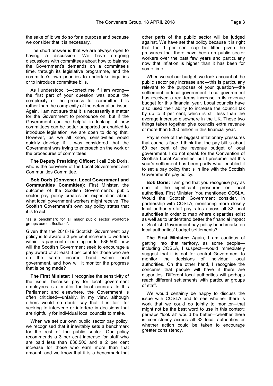the sake of it; we do so for a purpose and because we consider that it is necessary.

The short answer is that we are always open to having a discussion. We have on-going discussions with committees about how to balance the Government's demands on a committee's time, through its legislative programme, and the committee's own priorities to undertake inquiries or to introduce committee bills.

As I understood it—correct me if I am wrong the first part of your question was about the complexity of the process for committee bills rather than the complexity of the defamation issue. Again, I am not sure that it is necessarily a matter for the Government to pronounce on, but if the Government can be helpful in looking at how committees can be better supported or enabled to introduce legislation, we are open to doing that. However, as we all know, sensitivities would quickly develop if it was considered that the Government was trying to encroach on the work or the procedures of committees.

**The Deputy Presiding Officer:** I call Bob Doris, who is the convener of the Local Government and Communities Committee.

**Bob Doris (Convener, Local Government and Communities Committee):** First Minister, the outcome of the Scottish Government's public sector pay policy creates an expectation about what local government workers might receive. The Scottish Government's own pay policy states that it is to act

"as a benchmark for all major public sector workforce groups across Scotland".

Given that the 2018-19 Scottish Government pay policy is to award a 3 per cent increase to workers within its pay control earning under £36,500, how will the Scottish Government seek to encourage a pay award of at least 3 per cent for those who are on the same income band within local government, and how will it monitor the progress that is being made?

**The First Minister:** I recognise the sensitivity of the issue, because pay for local government employees is a matter for local councils. In this Parliament and elsewhere, the Government is often criticised—unfairly, in my view, although others would no doubt say that it is fair—for seeking to intervene or interfere in decisions that are rightfully for individual local councils to make.

When we set our own public sector pay policy, we recognised that it inevitably sets a benchmark for the rest of the public sector. Our policy recommends a 3 per cent increase for staff who are paid less than £36,500 and a 2 per cent increase for those who earn more than that amount, and we know that it is a benchmark that

other parts of the public sector will be judged against. We have set that policy because it is right that the 1 per cent cap be lifted given the pressures that there have been on public sector workers over the past few years and particularly now that inflation is higher than it has been for some time.

When we set our budget, we took account of the public sector pay increase and—this is particularly relevant to the purposes of your question—the settlement for local government. Local government has received a real-terms increase in its revenue budget for this financial year. Local councils have also used their ability to increase the council tax by up to 3 per cent, which is still less than the average increase elsewhere in the UK. Those two things taken together give councils extra revenue of more than £200 million in this financial year.

Pay is one of the biggest inflationary pressures that councils face. I think that the pay bill is about 60 per cent of the revenue budget of local government. I do not speak for the Convention of Scottish Local Authorities, but I presume that this year's settlement has been partly what enabled it to set a pay policy that is in line with the Scottish Government's pay policy.

**Bob Doris:** I am glad that you recognise pay as one of the significant pressures on local authorities, First Minister. You mentioned COSLA. Would the Scottish Government consider, in partnership with COSLA, monitoring more closely local authority staff pay rates across all 32 local authorities in order to map where disparities exist as well as to understand better the financial impact of Scottish Government pay policy benchmarks on local authorities' budget settlements?

**The First Minister:** Again, I am cautious of getting into that territory, as some people including COSLA, I suspect—would immediately suggest that it is not for central Government to monitor the decisions of individual local authorities. On the other hand, I recognise the concerns that people will have if there are disparities. Different local authorities will perhaps reach different settlements with particular groups of staff.

We would certainly be happy to discuss the issue with COSLA and to see whether there is work that we could do jointly to monitor—that might not be the best word to use in this context; perhaps "look at" would be better—whether there is consistency across all 32 local authorities or whether action could be taken to encourage greater consistency.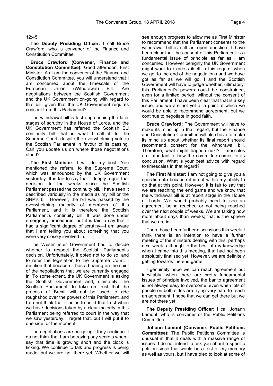#### 12:45

**The Deputy Presiding Officer:** I call Bruce Crawford, who is convener of the Finance and Constitution Committee.

**Bruce Crawford (Convener, Finance and Constitution Committee):** Good afternoon, First Minister. As I am the convener of the Finance and Constitution Committee, you will understand that I am concerned about the timescale of the European Union (Withdrawal) Bill. Are negotiations between the Scottish Government and the UK Government on-going with regard to that bill, given that the UK Government requires consent from this Parliament?

The withdrawal bill is fast approaching the later stages of scrutiny in the House of Lords, and the UK Government has referred the Scottish EU continuity bill—that is what I call it—to the Supreme Court, despite the overwhelming vote in the Scottish Parliament in favour of its passing. Can you update us on where those negotiations stand?

**The First Minister:** I will do my best. You mentioned the referral to the Supreme Court, which was announced by the UK Government yesterday. It is fair to say that I deeply regret that decision. In the weeks since the Scottish Parliament passed the continuity bill, I have seen it described variously in the media as my bill or the SNP's bill. However, the bill was passed by the overwhelming majority of members of this Parliament, and it is therefore the Scottish Parliament's continuity bill. It was done under emergency procedures, but it is fair to say that it had a significant degree of scrutiny—I am aware that I am telling you about something that you were very closely involved in.

The Westminster Government had to decide whether to respect the Scottish Parliament's decision. Unfortunately, it opted not to do so, and to refer the legislation to the Supreme Court. I mention that because it has a bearing on the spirit of the negotiations that we are currently engaged in. To some extent, the UK Government is asking the Scottish Government and, ultimately, the Scottish Parliament, to take on trust that the process of Brexit will not be used to ride roughshod over the powers of this Parliament, and I do not think that it helps to build that trust when we have decisions taken by a clear majority in this Parliament being referred to court in the way that we saw yesterday. I regret that, but I will put it to one side for the moment.

The negotiations are on-going—they continue. I do not think that I am betraying any secrets when I say that time is growing short and the clock is ticking. We continue to talk and progress is being made, but we are not there yet. Whether we will see enough progress to allow me as First Minister to recommend that the Parliament consents to the withdrawal bill is still an open question. I have been clear that the consent of this Parliament is a fundamental issue of principle as far as I am concerned. However benignly the UK Government might want to express itself in this regard, when we get to the end of the negotiations and we have got as far as we will go, I and the Scottish Government will have to judge whether, ultimately, this Parliament's powers could be constrained, even for a limited period, without the consent of this Parliament. I have been clear that that is a key issue, and we are not yet at a point at which we would be able to recommend agreement, but we continue to negotiate in good faith.

**Bruce Crawford:** The Government will have to make its mind up in that regard, but the Finance and Constitution Committee will also have to make its mind up about whether its final report should recommend consent for the withdrawal bill. Therefore, what might happen next? Timescales are important to how the committee comes to its conclusion. What is your best advice with regard to timescales in that regard?

**The First Minister:** I am not going to give you a specific date because it is not within my ability to do that at this point. However, it is fair to say that we are reaching the end game and we know that the withdrawal bill is at report stage in the House of Lords. We would probably need to see an agreement being reached or not being reached over the next couple of weeks. We are talking now more about days than weeks; that is the sphere that we are in.

There have been further discussions this week; I think there is an intention to have a further meeting of the ministers dealing with this, perhaps next week, although to the best of my knowledge when I came into this meeting, that had not been absolutely finalised yet. However, we are definitely getting towards the end game.

I genuinely hope we can reach agreement but inevitably, when there are pretty fundamental issues of principle involved, the bar to agreement is not always easy to overcome, even when lots of people on both sides are trying very hard to reach an agreement. I hope that we can get there but we are not there yet.

**The Deputy Presiding Officer:** I call Johann Lamont, who is convener of the Public Petitions Committee.

**Johann Lamont (Convener, Public Petitions Committee):** The Public Petitions Committee is unusual in that it deals with a massive range of issues. I do not intend to ask you about a specific petition since that would be a test of my memory as well as yours, but I have tried to look at some of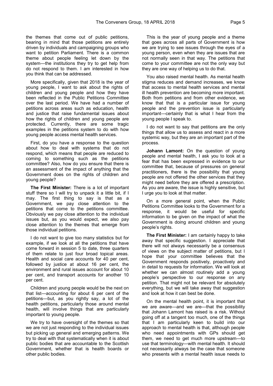the themes that come out of public petitions, bearing in mind that those petitions are entirely driven by individuals and campaigning groups who want to petition Parliament. There is a common theme about people feeling let down by the system—the institutions they try to get help from do not respond to them. I am interested in how you think that can be addressed.

More specifically, given that 2018 is the year of young people, I want to ask about the rights of children and young people and how they have been reflected in the Public Petitions Committee over the last period. We have had a number of petitions across areas such as education, health and justice that raise fundamental issues about how the rights of children and young people are protected. Currently, there are some tragic examples in the petitions system to do with how young people access mental health services.

First, do you have a response to the question about how to deal with systems that do not respond, which means that people are reduced to coming to something such as the petitions committee? Also, how do you ensure that there is an assessment of the impact of anything that the Government does on the rights of children and young people?

**The First Minister:** There is a lot of important stuff there so I will try to unpack it a little bit, if I may. The first thing to say is that as a Government, we pay close attention to the petitions that come to the petitions committee. Obviously we pay close attention to the individual issues but, as you would expect, we also pay close attention to the themes that emerge from those individual petitions.

I do not want to give too many statistics but for example, if we look at all the petitions that have come forward in session 5 to date, three quarters of them relate to just four broad topical areas. Health and social care accounts for 40 per cent, followed by justice at about 16 per cent, the environment and rural issues account for about 10 per cent, and transport accounts for another 10 per cent.

Children and young people would be the next on that list—accounting for about 6 per cent of the petitions—but, as you rightly say, a lot of the health petitions, particularly those around mental health, will involve things that are particularly important to young people.

We try to have oversight of the themes so that we are not just responding to the individual issues but picking up general and emerging patterns. We try to deal with that systematically when it is about public bodies that are accountable to the Scottish Government, whether that is health boards or other public bodies.

This is the year of young people and a theme that goes across all parts of Government is how we are trying to see issues through the eyes of a young person, even when they are issues that are not normally seen in that way. The petitions that come to your committee are not the only way but they are one way of helping us to do that.

You also raised mental health. As mental health stigma reduces and demand increases, we know that access to mental health services and mental ill health prevention are becoming more important. Both from petitions and from other evidence, we know that that is a particular issue for young people and the prevention issue is particularly important—certainly that is what I hear from the young people I speak to.

I do not want to say that petitions are the only things that allow us to assess and react in a more systemic way, but they are an important part of the process.

**Johann Lamont:** On the question of young people and mental health, I ask you to look at a fear that has been expressed in evidence to our committee that, because of pressures on general practitioners, there is the possibility that young people are not offered the other services that they might need before they are offered a prescription. As you are aware, the issue is highly sensitive, but I urge you to look at that matter.

On a more general point, when the Public Petitions Committee looks to the Government for a response, it would be useful for specific information to be given on the impact of what the Government is doing around children and young people's rights.

**The First Minister:** I am certainly happy to take away that specific suggestion. I appreciate that there will not always necessarily be a consensus of views on the subject matter of petitions, but I hope that your committee believes that the Government responds positively, proactively and in detail to requests for information. We will look at whether we can almost routinely add a young people's perspective to our response on any petition. That might not be relevant for absolutely everything, but we will take away that suggestion and look at how it can best be done.

On the mental health point, it is important that we are aware—and we are—that the possibility that Johann Lamont has raised is a risk. Without going off at a tangent too much, one of the things that I am particularly keen to build into our approach to mental health is that, although people who need appointments with GPs should get them, we need to get much more upstream—to use that terminology—with mental health. It should not necessarily always be the case that someone who presents with a mental health issue needs to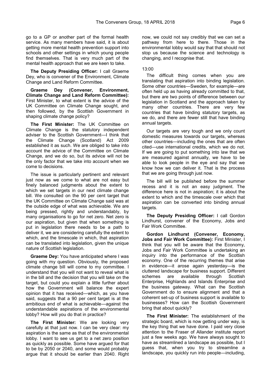go to a GP or another part of the formal health service. As many members have said, it is about getting more mental health prevention support into schools and other settings in which young people find themselves. That is very much part of the mental health approach that we are keen to take.

**The Deputy Presiding Officer:** I call Graeme Dey, who is convener of the Environment, Climate Change and Land Reform Committee.

**Graeme Dey (Convener, Environment, Climate Change and Land Reform Committee):**  First Minister, to what extent is the advice of the UK Committee on Climate Change sought, and then followed, by the Scottish Government in shaping climate change policy?

**The First Minister:** The UK Committee on Climate Change is the statutory independent adviser to the Scottish Government—I think that the Climate Change (Scotland) Act 2009 established it as such. We are obliged to take into account the advice of the Committee on Climate Change, and we do so, but its advice will not be the only factor that we take into account when we come to decisions.

The issue is particularly pertinent and relevant just now as we come to what are not easy but finely balanced judgments about the extent to which we set targets in our next climate change bill. We consulted on the 90 per cent target that the UK Committee on Climate Change said was at the outside edge of what was achievable. We are being pressed, rightly and understandably, by many organisations to go for net zero. Net zero is our aspiration, but given that when something is put in legislation there needs to be a path to deliver it, we are considering carefully the extent to which, and the timescale in which, that aspiration can be translated into legislation, given the unique nature of Scottish legislation.

**Graeme Dey:** You have anticipated where I was going with my question. Obviously, the proposed climate change bill will come to my committee. I understand that you will not want to reveal what is in the bill and the decision that you will take on the target, but could you explain a little further about how the Government will balance the expert opinion that it has received—which, as you have said, suggests that a 90 per cent target is at the ambitious end of what is achievable—against the understandable aspirations of the environmental lobby? How will you do that in practice?

**The First Minister:** We are looking very carefully at that just now. I can be very clear: my aspiration is the same as that of the environmental lobby. I want to see us get to a net zero position as quickly as possible. Some have argued for that to be by 2050 or 2040, and some would probably argue that it should be earlier than 2040. Right now, we could not say credibly that we can set a pathway from here to there. Those in the environmental lobby would say that that should not stop us because the science and technology is changing, and I recognise that.

### 13:00

The difficult thing comes when you are translating that aspiration into binding legislation. Some other countries—Sweden, for example—are often held up as having already committed to that, but there are two points of difference between our legislation in Scotland and the approach taken by many other countries. There are very few countries that have binding statutory targets, as we do, and there are fewer still that have binding annual targets.

Our targets are very tough and we only count domestic measures towards our targets, whereas other countries—including the ones that are often cited—use international credits, which we do not. If we are going to put something into law that we are measured against annually, we have to be able to look people in the eye and say that we know how we can deliver it. That is the process that we are going through just now.

The bill will be published before the summer recess and it is not an easy judgment. The difference here is not in aspiration; it is about the extent to which and the timescale over which that aspiration can be converted into binding annual targets.

**The Deputy Presiding Officer:** I call Gordon Lindhurst, convener of the Economy, Jobs and Fair Work Committee.

**Gordon Lindhurst (Convener, Economy, Jobs and Fair Work Committee):** First Minister, I think that you will be aware that the Economy, Jobs and Fair Work Committee is undertaking an inquiry into the performance of the Scottish economy. One of the recurring themes that arise in evidence—it arose again yesterday—is the cluttered landscape for business support. Different schemes are available through Scottish Enterprise, Highlands and Islands Enterprise and the business gateway. What can the Scottish Government do to ensure alignment and that a coherent set-up of business support is available to businesses? How can the Scottish Government bring that about quickly?

**The First Minister:** The establishment of the strategic board, which is now getting under way, is the key thing that we have done. I paid very close attention to the Fraser of Allander institute report just a few weeks ago. We have always sought to have as streamlined a landscape as possible, but I guess that, when you try to streamline a landscape, you quickly run into people—including,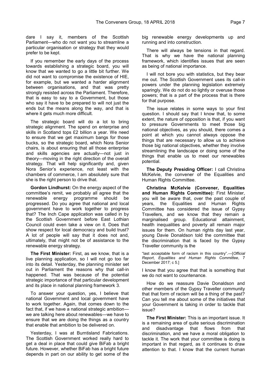dare I say it, members of the Scottish Parliament—who do not want you to streamline a particular organisation or strategy that they would prefer to be kept.

If you remember the early days of the process towards establishing a strategic board, you will know that we wanted to go a little bit further. We did not want to compromise the existence of HIE, for example, but we wanted a harder alignment between organisations, and that was pretty strongly resisted across the Parliament. Therefore, that is easy to say to a Government, but those who say it have to be prepared to will not just the ends but the means along the way, and that is where it gets much more difficult.

The strategic board will do a lot to bring strategic alignment. The spend on enterprise and skills in Scotland tops £2 billion a year. We need to ensure that we get maximum bangs for those bucks, so the strategic board, which Nora Senior chairs, is about ensuring that all those enterprise and skills agencies are actually—not just in theory—moving in the right direction of the overall strategy. That will help significantly and, given Nora Senior's experience, not least with the chambers of commerce, I am absolutely sure that she is the right person to drive that.

**Gordon Lindhurst:** On the energy aspect of the committee's remit, we probably all agree that the renewable energy programme should be progressed. Do you agree that national and local government have to work together to progress that? The Inch Cape application was called in by the Scottish Government before East Lothian Council could even take a view on it. Does that show respect for local democracy and build trust? A lot of people will say that it does not and, ultimately, that might not be of assistance to the renewable energy strategy.

**The First Minister:** First, as we know, that is a live planning application, so I will not go too far into its detail. Yesterday, the planning minister set out in Parliament the reasons why that call-in happened. That was because of the potential strategic importance of that particular development and its place in national planning framework 3.

To answer your question, yes, I believe that national Government and local government have to work together. Again, that comes down to the fact that, if we have a national strategic ambition we are talking here about renewables—we have to ensure that we are doing the things as a country that enable that ambition to be delivered on.

Yesterday, I was at Burntisland Fabrications. The Scottish Government worked really hard to get a deal in place that could give BiFab a bright future. However, whether BiFab has a bright future depends in part on our ability to get some of the

big renewable energy developments up and running and into construction.

There will always be tensions in that regard. That is why we have the national planning framework, which identifies issues that are seen as being of national importance.

I will not bore you with statistics, but they bear me out. The Scottish Government uses its call-in powers under the planning legislation extremely sparingly. We do not do so lightly or overuse those powers; that is a part of the process that is there for that purpose.

The issue relates in some ways to your first question. I should say that I know that, to some extent, the nature of opposition is that, if you want to pressure Governments to meet those big national objectives, as you should, there comes a point at which you cannot always oppose the things that are necessary to allow us to achieve those big national objectives, whether they involve streamlining the landscape or doing some of the things that enable us to meet our renewables potential.

**The Deputy Presiding Officer:** I call Christina McKelvie, the convener of the Equalities and Human Rights Committee.

**Christina McKelvie (Convener, Equalities and Human Rights Committee):** First Minister, you will be aware that, over the past couple of years, the Equalities and Human Rights Committee has considered the issue of Gypsy Travellers, and we know that they remain a marginalised group. Educational attainment, health inequalities and poverty all remain major issues for them. On human rights day last year, young Davie Donaldson told the committee that the discrimination that is faced by the Gypsy Traveller community is the

"last acceptable form of racism in this country".—[*Official Report*, *Equalities and Human Rights Committee*, 7 December 2017; c 5.]

I know that you agree that that is something that we do not want to countenance.

How do we reassure Davie Donaldson and other members of the Gypsy Traveller community that that form of racism will be a thing of the past? Can you tell me about some of the initiatives that your Government is taking in order to tackle that issue?

**The First Minister:** This is an important issue. It is a remaining area of quite serious discrimination and disadvantage that flows from that discrimination, and we have a moral obligation to tackle it. The work that your committee is doing is important in that regard, as it continues to draw attention to that. I know that the current human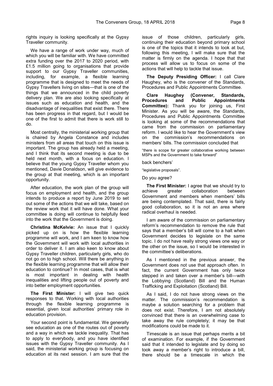rights inquiry is looking specifically at the Gypsy Traveller community.

We have a range of work under way, much of which you will be familiar with. We have committed extra funding over the 2017 to 2020 period, with £1.5 million going to organisations that provide support to our Gypsy Traveller communities, including, for example, a flexible learning programme that is designed to meet the needs of Gypsy Travellers living on sites—that is one of the things that we announced in the child poverty delivery plan. We are also looking specifically at issues such as education and health, and the disadvantage of inequalities that exist there. There has been progress in that regard, but I would be one of the first to admit that there is work still to do.

Most centrally, the ministerial working group that is chaired by Angela Constance and includes ministers from all areas that touch on this issue is important. The group has already held a meeting, and I think that its second meeting is due to be held next month, with a focus on education. I believe that the young Gypsy Traveller whom you mentioned, Davie Donaldson, will give evidence to the group at that meeting, which is an important opportunity.

After education, the work plan of the group will focus on employment and health, and the group intends to produce a report by June 2019 to set out some of the actions that we will take, based on the review work that it will have done. What your committee is doing will continue to helpfully feed into the work that the Government is doing.

**Christina McKelvie:** An issue that I quickly picked up on is how the flexible learning programme will work, and I am keen to know how the Government will work with local authorities in order to deliver it. I am also keen to know about Gypsy Traveller children, particularly girls, who do not go on to high school. Will there be anything in the flexible learning programme that will allow their education to continue? In most cases, that is what is most important in dealing with health inequalities and lifting people out of poverty and into better employment opportunities.

**The First Minister:** I will give two quick responses to that. Working with local authorities through the flexible learning programme is essential, given local authorities' primary role in education provision.

Your second point is fundamental. We generally see education as one of the routes out of poverty and a way in which we tackle inequality. That has to apply to everybody, and you have identified issues with the Gypsy Traveller community. As I said, the ministerial working group is focusing on education at its next session. I am sure that the

issue of those children, particularly girls, continuing their education beyond primary school is one of the topics that it intends to look at but, following this meeting, I will make sure that the matter is firmly on the agenda. I hope that that process will allow us to focus on some of the actions that will help to tackle that issue.

**The Deputy Presiding Officer:** I call Clare Haughey, who is the convener of the Standards, Procedures and Public Appointments Committee.

**Clare Haughey (Convener, Standards, Procedures and Public Appointments Committee):** Thank you for joining us, First Minister. As you will be aware, the Standards, Procedures and Public Appointments Committee is looking at some of the recommendations that came from the commission on parliamentary reform. I would like to hear the Government's view on the commission's recommendations on members' bills. The commission concluded that

"there is scope for greater collaborative working between MSPs and the Government to take forward"

back benchers'

"legislative proposals".

Do you agree?

**The First Minister:** I agree that we should try to achieve greater collaboration between Government and members when members' bills are being contemplated. That said, there is fairly good collaboration, so it is not an area where radical overhaul is needed.

I am aware of the commission on parliamentary reform's recommendation to remove the rule that says that a member's bill will come to a halt when Government decides to legislate on the same topic. I do not have really strong views one way or the other on the issue, so I would be interested in the committee's deliberations.

As I mentioned in the previous answer, the Government does not use that approach often. In fact, the current Government has only twice stepped in and taken over a member's bill—with the Lobbying (Scotland) Bill and the Human Trafficking and Exploitation (Scotland) Bill.

As I said, I do not have strong views on the matter. The commission's recommendation is maybe a solution searching for a problem that does not exist. Therefore, I am not absolutely convinced that there is an overwhelming case to take away the rule completely; it may be that modifications could be made to it.

Timescale is an issue that perhaps merits a bit of examination. For example, if the Government said that it intended to legislate and by doing so took away a member's right to introduce a bill, there should be a timescale in which the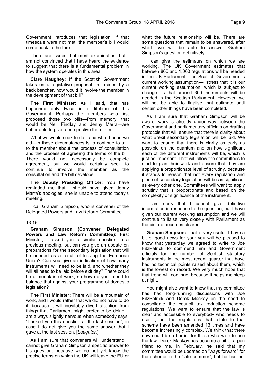Government introduces that legislation. If that timescale were not met, the member's bill would come back to the fore.

There are issues that merit examination, but I am not convinced that I have heard the evidence to suggest that there is a fundamental problem in how the system operates in this area.

**Clare Haughey:** If the Scottish Government takes on a legislative proposal first raised by a back bencher, how would it involve the member in the development of that bill?

**The First Minister:** As I said, that has happened only twice in a lifetime of this Government. Perhaps the members who first proposed those two bills—from memory, that would be Neil Findlay and Jenny Marra—are better able to give a perspective than I am.

What we would seek to do—and what I hope we did—in those circumstances is to continue to talk to the member about the process of consultation and the process of agreeing the terms of the bill. There would not necessarily be complete agreement, but we would certainly seek to continue to involve the member as the consultation and the bill develops.

**The Deputy Presiding Officer:** You have reminded me that I should have given Jenny Marra's apologies; she is unable to attend today's meeting.

I call Graham Simpson, who is convener of the Delegated Powers and Law Reform Committee.

### 13:15

**Graham Simpson (Convener, Delegated Powers and Law Reform Committee):** First Minister, I asked you a similar question in a previous meeting, but can you give an update on preparations for the secondary legislation that will be needed as a result of leaving the European Union? Can you give an indication of how many instruments will need to be laid, and whether they will all need to be laid before exit day? There could be a mountain of work, so how do you intend to balance that against your programme of domestic legislation?

**The First Minister:** There will be a mountain of work, and I would rather that we did not have to do it, because it will inevitably divert attention from things that Parliament might prefer to be doing. I am always slightly nervous when somebody says, "I asked you this question at the last session", in case I do not give you the same answer that I gave at the last session. [*Laughter*.]

As I am sure that conveners will understand. I cannot give Graham Simpson a specific answer to his question, because we do not yet know the precise terms on which the UK will leave the EU or what the future relationship will be. There are some questions that remain to be answered, after which we will be able to answer Graham Simpson's question definitively.

I can give the estimates on which we are working. The UK Government estimates that between 800 and 1,000 regulations will be needed in the UK Parliament. The Scottish Government's current working assumption—I stress that it is our current working assumption, which is subject to change—is that around 300 instruments will be needed in the Scottish Parliament. However, we will not be able to finalise that estimate until certain other things have been completed.

As I am sure that Graham Simpson will be aware, work is already under way between the Government and parliamentary officials on drafting protocols that will ensure that there is clarity about what Brexit secondary legislation will be laid. We want to ensure that there is clarity as early as possible on the quantum and on how significant each of the different instruments will be, which is just as important. That will allow the committees to start to plan their work and ensure that they are applying a proportionate level of scrutiny, because it stands to reason that not every regulation and piece of secondary legislation will be as significant as every other one. Committees will want to apply scrutiny that is proportionate and based on the complexity or significance of the instrument.

I am sorry that I cannot give definitive information in response to the question, but I have given our current working assumption and we will continue to liaise very closely with Parliament as the picture becomes clearer.

**Graham Simpson:** That is very useful. I have a bit of good news for you: you will be pleased to know that yesterday we agreed to write to Joe FitzPatrick to commend him and Government officials for the number of Scottish statutory instruments in the most recent quarter that have had no technical points raised about them, which is the lowest on record. We very much hope that that trend will continue, because it helps me sleep at night.

You might also want to know that my committee has had long-running discussions with Joe FitzPatrick and Derek Mackay on the need to consolidate the council tax reduction scheme regulations. We want to ensure that the law is clear and accessible to everybody who needs to use it, but the regulations that relate to that scheme have been amended 13 times and have become increasingly complex. We think that there now could be a barrier for those who wish to use the law. Derek Mackay has become a bit of a pen friend to me. In February, he said that my committee would be updated on "ways forward" for the scheme in the "late summer", but he has not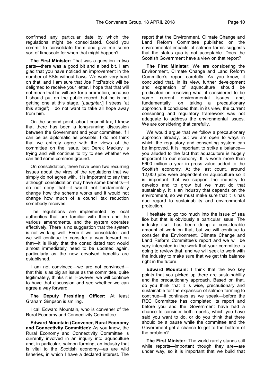confirmed any particular date by which the regulations might be consolidated. Could you commit to consolidate them and give me some sort of timescale for when that might happen?

**The First Minister:** That was a question in two parts—there was a good bit and a bad bit. I am glad that you have noticed an improvement in the number of SSIs without flaws. We work very hard on that, and I am sure that Joe FitzPatrick will be delighted to receive your letter. I hope that that will not mean that he will ask for a promotion, because I should put on the public record that he is not getting one at this stage. [*Laughter*.] I stress "at this stage"; I do not want to take all hope away from him.

On the second point, about council tax, I know that there has been a long-running discussion between the Government and your committee. If I can be as diplomatic as possible, I do not think that we entirely agree with the views of the committee on the issue, but Derek Mackay is trying and will continue to try to see whether we can find some common ground.

On consolidation, there have been two recurring issues about the vires of the regulations that we simply do not agree with. It is important to say that although consolidation may have some benefits—I do not deny that—it would not fundamentally change how the scheme works and it would not change how much of a council tax reduction somebody receives.

The regulations are implemented by local authorities that are familiar with them and the various amendments, and the system operates effectively. There is no suggestion that the system is not working well. Even if we consolidate—and we will continue to consider a way forward on that—it is likely that the consolidated text would almost immediately need to be updated again, particularly as the new devolved benefits are established.

I am not convinced—we are not convinced that this is as big an issue as the committee, quite legitimately, thinks it is. However, we will continue to have that discussion and see whether we can agree a way forward.

**The Deputy Presiding Officer:** At least Graham Simpson is smiling.

I call Edward Mountain, who is convener of the Rural Economy and Connectivity Committee.

**Edward Mountain (Convener, Rural Economy and Connectivity Committee):** As you know, the Rural Economy and Connectivity Committee is currently involved in an inquiry into aquaculture and, in particular, salmon farming, an industry that is vital to the Scottish economy—as are wild fisheries, in which I have a declared interest. The

report that the Environment, Climate Change and Land Reform Committee published on the environmental impacts of salmon farms suggests that the status quo is not acceptable. Does the Scottish Government have a view on that report?

**The First Minister:** We are considering the Environment, Climate Change and Land Reform Committee's report carefully. As you know, it concluded that, in its view, further development and expansion of aquaculture should be predicated on resolving what it considered to be some current environmental issues and, fundamentally, on taking a precautionary approach. It concluded that, in its view, the current consenting and regulatory framework was not adequate to address the environmental issues. We are considering that carefully.

We would argue that we follow a precautionary approach already, but we are open to ways in which the regulatory and consenting system can be improved. It is important to strike a balance you alluded to the fact that aquaculture is hugely important to our economy. It is worth more than £600 million a year in gross value added to the Scottish economy. At the last count, around 12,000 jobs were dependent on aquaculture so it is important that we support the industry to develop and to grow but we must do that sustainably. It is an industry that depends on the environment, so we must make sure that it is has due regard to sustainability and environmental protection.

I hesitate to go too much into the issue of sea lice but that is obviously a particular issue. The industry itself has been doing a considerable amount of work on that, but we will continue to consider the Environment, Climate Change and Land Reform Committee's report and we will be very interested in the work that your committee is doing to review that, and we will seek to work with the industry to make sure that we get this balance right in the future.

**Edward Mountain:** I think that the two key points that you picked up there are sustainability and the precautionary approach. Based on that, do you think that it is wise, precautionary and sustainable for the expansion of salmon farming to continue—it continues as we speak—before the REC Committee has completed its report and before you and the Government have had a chance to consider both reports, which you have said you want to do, or do you think that there should be a pause while the committee and the Government get a chance to get to the bottom of the problem?

**The First Minister:** The world rarely stands still while reports—important though they are—are under way, so it is important that we build that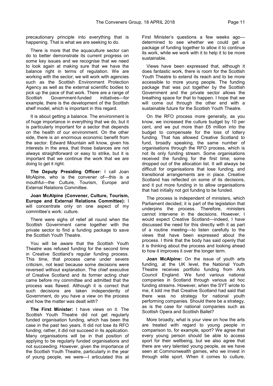precautionary principle into everything that is happening. That is what we are seeking to do.

There is more that the aquaculture sector can do to better demonstrate its current progress on some key issues and we recognise that we need to look again at making sure that we have the balance right in terms of regulation. We are working with the sector; we will work with agencies such as the Scottish Environment Protection Agency as well as the external scientific bodies to pick up the pace of that work. There are a range of Scottish Government-funded initiatives—for example, there is the development of the Scottish shelf model, which is important in this regard.

It is about getting a balance. The environment is of huge importance in everything that we do, but it is particularly important for a sector that depends on the health of our environment. On the other side, there is an enormous economic benefit from the sector. Edward Mountain will know, given his interests in the area, that those balances are not always straightforward or easy to strike, but it is important that we continue the work that we are doing to get it right.

**The Deputy Presiding Officer:** I call Joan McAlpine, who is the convener of—this is a mouthful—the Culture, Tourism, Europe and External Relations Committee.

**Joan McAlpine (Convener, Culture, Tourism, Europe and External Relations Committee):** I will concentrate only on one aspect of my committee's work: culture.

There were sighs of relief all round when the Scottish Government came together with the private sector to find a funding package to save the Scottish Youth Theatre.

You will be aware that the Scottish Youth Theatre was refused funding for the second time in Creative Scotland's regular funding process. This time, that process came under severe criticism, not least because some decisions were reversed without explanation. The chief executive of Creative Scotland and its former acting chair came before my committee and admitted that the process was flawed. Although it is correct that such decisions are taken independently of Government, do you have a view on the process and how the matter was dealt with?

**The First Minister:** I have views on it. The Scottish Youth Theatre did not get regularly funded organisation funding, which has been the case in the past two years. It did not lose its RFO funding; rather, it did not succeed in its application. Many organisations will be in that position of applying to be regularly funded organisations and not succeeding. However, given the importance of the Scottish Youth Theatre, particularly in the year of young people, we were—I articulated this at

First Minister's questions a few weeks ago determined to see whether we could get a package of funding together to allow it to continue its work, while we work with it to help it to be more sustainable.

Views have been expressed that, although it does fantastic work, there is room for the Scottish Youth Theatre to extend its reach and to be more accessible to more young people. The funding package that was put together by the Scottish Government and the private sector allows the breathing space for that to happen. I hope that we will come out through the other end with a sustainable future for the Scottish Youth Theatre.

On the RFO process more generally, as you know, we increased the culture budget by 10 per cent, and we put more than £6 million into the budget to compensate for the loss of lottery funding. That has allowed Creative Scotland to fund, broadly speaking, the same number of organisations through the RFO process, which is not its only funding stream. Some organisations received the funding for the first time; some dropped out of the allocation list. It will always be difficult for organisations that lose funding, and transitional arrangements are in place. Creative Scotland has reflected on some of its decisions, and it put more funding in to allow organisations that had initially not got funding to be funded.

The process is independent of ministers, which Parliament decided; it is part of the legislation that underpins the process. Therefore, ministers cannot intervene in the decisions. However, I would expect Creative Scotland—indeed, I have discussed the need for this directly with it as part of a routine meeting—to listen carefully to the views that have been expressed about the process. I think that the body has said openly that it is thinking about the process and looking ahead to how it improves it over the longer term.

**Joan McAlpine:** On the issue of youth arts funding, at the UK level, the National Youth Theatre receives portfolio funding from Arts Council England. We fund various national companies in Scotland through various ad hoc funding streams. However, when the SYT wrote to me, it told me that Creative Scotland had said that there was no strategy for national youth performing companies. Should there be a strategy, as is the case for national companies such as Scottish Opera and Scottish Ballet?

More broadly, what is your view on how the arts are treated with regard to young people in comparison to, for example, sport? We agree that every young person should be able to access sport for their wellbeing, but we also agree that there are very talented young people, as we have seen at Commonwealth games, who we invest in through elite sport. When it comes to culture,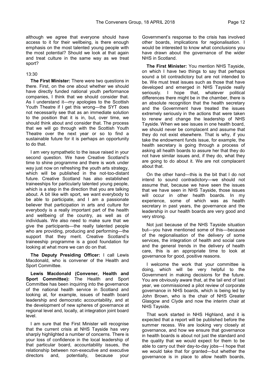although we agree that everyone should have access to it for their wellbeing, is there enough emphasis on the most talented young people with the most potential? Should we look at that again and treat culture in the same way as we treat sport?

### 13:30

**The First Minister:** There were two questions in there. First, on the one about whether we should have directly funded national youth performance companies, I think that we should consider that. As I understand it—my apologies to the Scottish Youth Theatre if I get this wrong—the SYT does not necessarily see that as an immediate solution to the position that it is in, but, over time, we should think about and consider that. The process that we will go through with the Scottish Youth Theatre over the next year or so to find a sustainable future for it is perhaps an opportunity to do that.

I am very sympathetic to the issue raised in your second question. We have Creative Scotland's time to shine programme and there is work under way just now on refreshing the youth arts strategy, which will be published in the not-too-distant future. Creative Scotland has also established traineeships for particularly talented young people, which is a step in the direction that you are talking about. A bit like with sport, we want everybody to be able to participate, and I am a passionate believer that participation in arts and culture for everybody is a really important part of the health and wellbeing of the country, as well as of individuals. We also need to make sure that we give the participants—the really talented people who are providing, producing and performing—the support that they merit. Creative Scotland's traineeship programme is a good foundation for looking at what more we can do on that.

**The Deputy Presiding Officer:** I call Lewis Macdonald, who is convener of the Health and Sport Committee.

**Lewis Macdonald (Convener, Health and Sport Committee):** The Health and Sport Committee has been inquiring into the governance of the national health service in Scotland and looking at, for example, issues of health board leadership and democratic accountability, and at the development of new spheres of governance at regional level and, locally, at integration joint board level.

I am sure that the First Minister will recognise that the current crisis at NHS Tayside has very sharply highlighted a number of concerns. There is your loss of confidence in the local leadership of that particular board, accountability issues, the relationship between non-executive and executive directors and, potentially, because your

Government's response to the crisis has involved other boards, implications for regionalisation. I would be interested to know what conclusions you have drawn about the governance of the wider NHS in Scotland.

**The First Minister:** You mention NHS Tayside, on which I have two things to say that perhaps sound a bit contradictory but are not intended to be. We must treat issues such as those that have developed and emerged in NHS Tayside really seriously. I hope that, whatever political differences there might be in the chamber, there is an absolute recognition that the health secretary and the Government have treated the issues extremely seriously in the actions that were taken to renew and change the leadership of NHS Tayside. When we see issues in one health board, we should never be complacent and assume that they do not exist elsewhere. That is why, if you take the endowment funds issue, for example, the health secretary is going through a process of asking all health boards to assure her that they do not have similar issues and, if they do, what they are going to do about it. We are not complacent about that.

On the other hand—this is the bit that I do not intend to sound contradictory—we should not assume that, because we have seen the issues that we have seen in NHS Tayside, those issues will occur in other health boards. In my experience, some of which was as health secretary in past years, the governance and the leadership in our health boards are very good and very strong.

Not just because of the NHS Tayside situation but—you have mentioned some of this—because of the regionalisation of the delivery of some services, the integration of health and social care and the general trends in the delivery of health care, this is an appropriate time to look at governance for good, positive reasons.

I welcome the work that your committee is doing, which will be very helpful to the Government in making decisions for the future. You are obviously aware that, at the tail end of last year, we commissioned a pilot review of corporate governance in NHS boards, which is being led by John Brown, who is the chair of NHS Greater Glasgow and Clyde and now the interim chair at NHS Tayside.

That work started in NHS Highland, and it is expected that a report will be published before the summer recess. We are looking very closely at governance, and how we ensure that governance in health boards is about not just the standard and the quality that we would expect for them to be able to carry out their day-to-day jobs—I hope that we would take that for granted—but whether the governance is in place to allow health boards,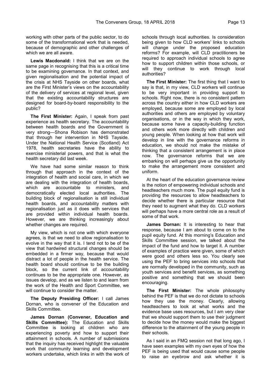working with other parts of the public sector, to do some of the transformational work that is needed, because of demographic and other challenges of which we are all aware.

**Lewis Macdonald:** I think that we are on the same page in recognising that this is a critical time to be examining governance. In that context, and given regionalisation and the potential impact of the crisis at NHS Tayside on other boards, what are the First Minister's views on the accountability of the delivery of services at regional level, given that the existing accountability structures are designed for board-by-board responsibility to the public?

**The First Minister:** Again, I speak from past experience as health secretary. The accountability between health boards and the Government is very strong—Shona Robison has demonstrated that through her intervention in NHS Tayside. Under the National Health Service (Scotland) Act 1978, health secretaries have the ability to exercise ministerial powers, and that is what the health secretary did last week.

We have had some similar reason to think through that approach in the context of the integration of health and social care, in which we are dealing with the integration of health boards, which are accountable to ministers, and democratically elected local authorities. The building block of regionalisation is still individual health boards, and accountability matters with regionalisation just as it does with services that are provided within individual health boards. However, we are thinking increasingly about whether changes are required.

My view, which is not one with which everyone agrees, is that we need to allow regionalisation to evolve in the way that it is. I tend not to be of the view that hardwired structural changes should be embedded in a firmer way, because that would distract a lot of people in the health service. The health board should continue to be the building block, so the current link of accountability continues to be the appropriate one. However, as issues develop, and as we listen to and learn from the work of the Health and Sport Committee, we will continue to consider the matter.

**The Deputy Presiding Officer:** I call James Dornan, who is convener of the Education and Skills Committee.

**James Dornan (Convener, Education and Skills Committee):** The Education and Skills Committee is looking at children who are experiencing poverty and how to support their attainment in schools. A number of submissions that the inquiry has received highlight the valuable work that community learning and development workers undertake, which links in with the work of

schools through local authorities. Is consideration being given to how CLD workers' links to schools will change under the proposed education reforms? For example, will CLD practitioners be required to approach individual schools to agree how to support children within those schools, or will they continue to work through local authorities?

**The First Minister:** The first thing that I want to say is that, in my view, CLD workers will continue to be very important in providing support to schools. Right now, there is no consistent pattern across the country either in how CLD workers are employed, because some are employed by local authorities and others are employed by voluntary organisations, or in the way in which they work, because some have a capacity-building function and others work more directly with children and young people. When looking at how that work will develop in line with the governance reforms in education, we should not make the mistake of thinking that a consistent arrangement is in place now. The governance reforms that we are embarking on will perhaps give us the opportunity to make the arrangement more consistent and uniform.

At the heart of the education governance review is the notion of empowering individual schools and headteachers much more. The pupil equity fund is providing the resources to allow headteachers to decide whether there is particular resource that they need to augment what they do. CLD workers will perhaps have a more central role as a result of some of that work.

**James Dornan:** It is interesting to hear that response, because I am about to come on to the pupil equity fund. At this morning's Education and Skills Committee session, we talked about the impact of the fund and how to target it. A number of examples of practice were given, some of which were good and others less so. You clearly see using the PEF to bring services into schools that are normally developed in the community, such as youth services and benefit services, as something positive and something that we should been encouraging.

**The First Minister:** The whole philosophy behind the PEF is that we do not dictate to schools how they use the money. Clearly, allowing headteachers to look at what works and the evidence base uses resources, but I am very clear that we should support them to use their judgment to decide how the money would make the biggest difference to the attainment of the young people in their schools.

As I said in an FMQ session not that long ago, I have seen examples with my own eyes of how the PEF is being used that would cause some people to raise an eyebrow and ask whether it is